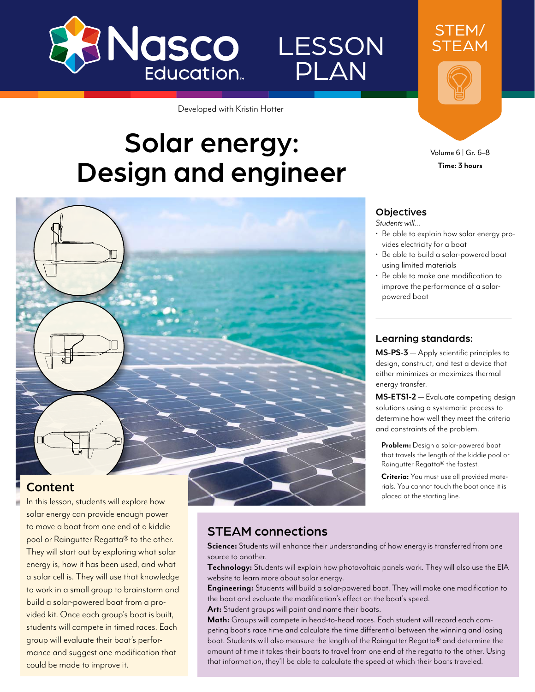

Developed with Kristin Hotter

# Solar energy: Design and engineer

# **Objectives**

LESSON

PLAN

*Students will…*

• Be able to explain how solar energy provides electricity for a boat

Volume 6 | Gr. 6–8 **Time: 3 hours**

STEM/ STEAM

- Be able to build a solar-powered boat using limited materials
- Be able to make one modification to improve the performance of a solarpowered boat

#### Learning standards:

**MS-PS-3** — Apply scientific principles to design, construct, and test a device that either minimizes or maximizes thermal energy transfer.

**MS-ETS1-2** — Evaluate competing design solutions using a systematic process to determine how well they meet the criteria and constraints of the problem.

**Problem:** Design a solar-powered boat that travels the length of the kiddie pool or Raingutter Regatta® the fastest.

**Criteria:** You must use all provided materials. You cannot touch the boat once it is placed at the starting line.

#### Content

In this lesson, students will explore how solar energy can provide enough power to move a boat from one end of a kiddie pool or Raingutter Regatta® to the other. They will start out by exploring what solar energy is, how it has been used, and what a solar cell is. They will use that knowledge to work in a small group to brainstorm and build a solar-powered boat from a provided kit. Once each group's boat is built, students will compete in timed races. Each group will evaluate their boat's performance and suggest one modification that could be made to improve it.

### STEAM connections

**Science:** Students will enhance their understanding of how energy is transferred from one source to another.

**Technology:** Students will explain how photovoltaic panels work. They will also use the EIA website to learn more about solar energy.

**Engineering:** Students will build a solar-powered boat. They will make one modification to the boat and evaluate the modification's effect on the boat's speed.

**Art:** Student groups will paint and name their boats.

**Math:** Groups will compete in head-to-head races. Each student will record each competing boat's race time and calculate the time differential between the winning and losing boat. Students will also measure the length of the Raingutter Regatta® and determine the amount of time it takes their boats to travel from one end of the regatta to the other. Using that information, they'll be able to calculate the speed at which their boats traveled.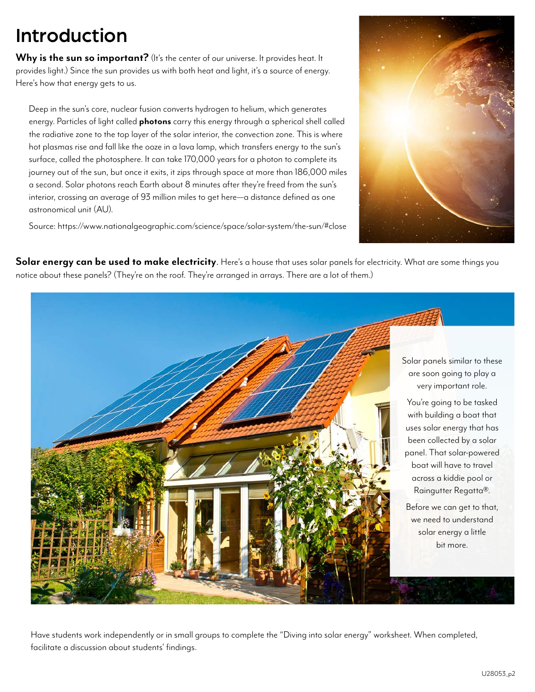## Introduction

Why is the sun so important? (It's the center of our universe. It provides heat. It provides light.) Since the sun provides us with both heat and light, it's a source of energy. Here's how that energy gets to us.

Deep in the sun's core, nuclear fusion converts hydrogen to helium, which generates energy. Particles of light called **photons** carry this energy through a spherical shell called the radiative zone to the top layer of the solar interior, the convection zone. This is where hot plasmas rise and fall like the ooze in a lava lamp, which transfers energy to the sun's surface, called the photosphere. It can take 170,000 years for a photon to complete its journey out of the sun, but once it exits, it zips through space at more than 186,000 miles a second. Solar photons reach Earth about 8 minutes after they're freed from the sun's interior, crossing an average of 93 million miles to get here—a distance defined as one astronomical unit (AU).

Source: <https://www.nationalgeographic.com/science/space/solar-system/the-sun/#close>



**Solar energy can be used to make electricity**. Here's a house that uses solar panels for electricity. What are some things you notice about these panels? (They're on the roof. They're arranged in arrays. There are a lot of them.)



Have students work independently or in small groups to complete the "Diving into solar energy" worksheet. When completed, facilitate a discussion about students' findings.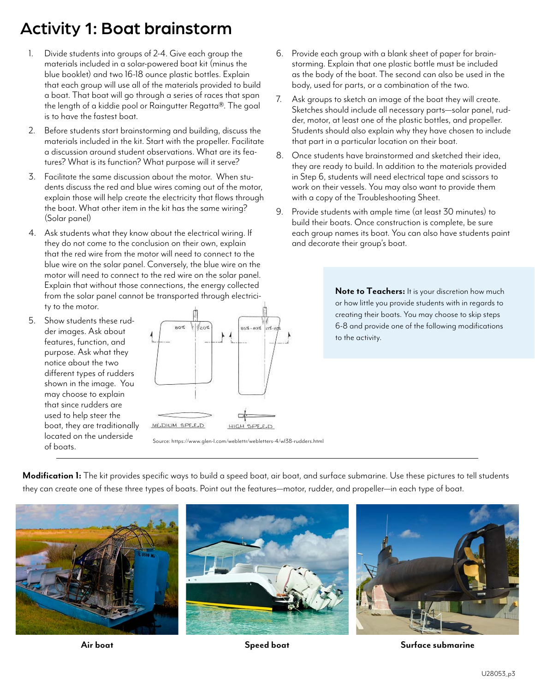### Activity 1: Boat brainstorm

- 1. Divide students into groups of 2-4. Give each group the materials included in a solar-powered boat kit (minus the blue booklet) and two 16-18 ounce plastic bottles. Explain that each group will use all of the materials provided to build a boat. That boat will go through a series of races that span the length of a kiddie pool or Raingutter Regatta®. The goal is to have the fastest boat.
- 2. Before students start brainstorming and building, discuss the materials included in the kit. Start with the propeller. Facilitate a discussion around student observations. What are its features? What is its function? What purpose will it serve?
- 3. Facilitate the same discussion about the motor. When students discuss the red and blue wires coming out of the motor, explain those will help create the electricity that flows through the boat. What other item in the kit has the same wiring? (Solar panel)
- 4. Ask students what they know about the electrical wiring. If they do not come to the conclusion on their own, explain that the red wire from the motor will need to connect to the blue wire on the solar panel. Conversely, the blue wire on the motor will need to connect to the red wire on the solar panel. Explain that without those connections, the energy collected from the solar panel cannot be transported through electricity to the motor.
- 5. Show students these rudder images. Ask about features, function, and purpose. Ask what they notice about the two different types of rudders shown in the image. You may choose to explain that since rudders are used to help steer the boat, they are traditionally located on the underside of boats.



Source:<https://www.glen-l.com/weblettr/webletters-4/wl38-rudders.html>

- 6. Provide each group with a blank sheet of paper for brainstorming. Explain that one plastic bottle must be included as the body of the boat. The second can also be used in the body, used for parts, or a combination of the two.
- 7. Ask groups to sketch an image of the boat they will create. Sketches should include all necessary parts—solar panel, rudder, motor, at least one of the plastic bottles, and propeller. Students should also explain why they have chosen to include that part in a particular location on their boat.
- 8. Once students have brainstormed and sketched their idea, they are ready to build. In addition to the materials provided in Step 6, students will need electrical tape and scissors to work on their vessels. You may also want to provide them with a copy of the Troubleshooting Sheet.
- 9. Provide students with ample time (at least 30 minutes) to build their boats. Once construction is complete, be sure each group names its boat. You can also have students paint and decorate their group's boat.

**Note to Teachers:** It is your discretion how much or how little you provide students with in regards to creating their boats. You may choose to skip steps 6-8 and provide one of the following modifications to the activity.

**Modification 1:** The kit provides specific ways to build a speed boat, air boat, and surface submarine. Use these pictures to tell students they can create one of these three types of boats. Point out the features—motor, rudder, and propeller—in each type of boat.



**Air boat Speed boat Surface submarine**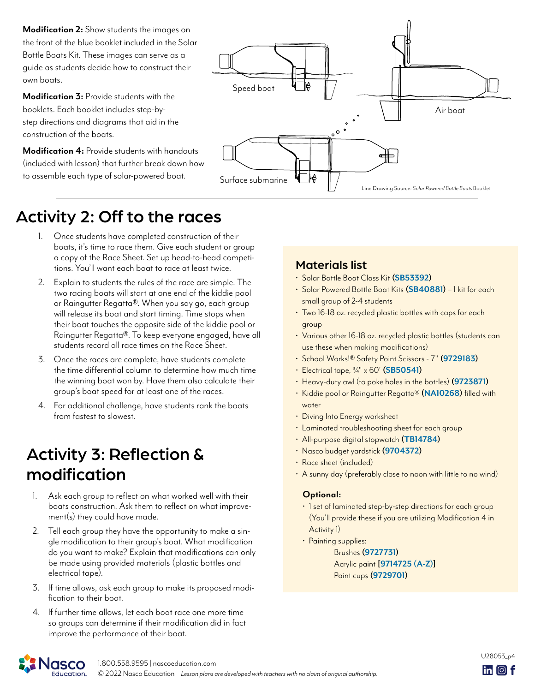**Modification 2:** Show students the images on the front of the blue booklet included in the Solar Bottle Boats Kit. These images can serve as a guide as students decide how to construct their own boats.

**Modification 3:** Provide students with the booklets. Each booklet includes step-bystep directions and diagrams that aid in the construction of the boats.

**Modification 4:** Provide students with handouts (included with lesson) that further break down how to assemble each type of solar-powered boat.



### Activity 2: Off to the races

- 1. Once students have completed construction of their boats, it's time to race them. Give each student or group a copy of the Race Sheet. Set up head-to-head competitions. You'll want each boat to race at least twice.
- 2. Explain to students the rules of the race are simple. The two racing boats will start at one end of the kiddie pool or Raingutter Regatta®. When you say go, each group will release its boat and start timing. Time stops when their boat touches the opposite side of the kiddie pool or Raingutter Regatta®. To keep everyone engaged, have all students record all race times on the Race Sheet.
- 3. Once the races are complete, have students complete the time differential column to determine how much time the winning boat won by. Have them also calculate their group's boat speed for at least one of the races.
- 4. For additional challenge, have students rank the boats from fastest to slowest.

### Activity 3: Reflection & modification

- 1. Ask each group to reflect on what worked well with their boats construction. Ask them to reflect on what improvement(s) they could have made.
- 2. Tell each group they have the opportunity to make a sin gle modification to their group's boat. What modification do you want to make? Explain that modifications can only be made using provided materials (plastic bottles and electrical tape).
- 3. If time allows, ask each group to make its proposed modi- fication to their boat.
- 4. If further time allows, let each boat race one more time so groups can determine if their modification did in fact improve the performance of their boat.

#### Materials list

- Solar Bottle Boat Class Kit **[\(SB53392\)](https://www.enasco.com/p/SB53392)**
- Solar Powered Bottle Boat Kits **([SB40881\)](https://www.enasco.com/p/SB40881)** 1 kit for each small group of 2-4 students
- Two 16-18 oz. recycled plastic bottles with caps for each group
- Various other 16-18 oz. recycled plastic bottles (students can use these when making modifications)
- School Works!® Safety Point Scissors 7" **[\(9729183\)](https://www.enasco.com/p/9729183)**
- Electrical tape, 3/4" x 60' **([SB50541\)](https://www.enasco.com/p/SB50541)**
- Heavy-duty awl (to poke holes in the bottles) **[\(9723871\)](https://www.enasco.com/p/9723871)**
- Kiddie pool or Raingutter Regatta® **[\(NA10268\)](https://www.enasco.com/p/NA10268)** filled with water
- Diving Into Energy worksheet
- Laminated troubleshooting sheet for each group
- All-purpose digital stopwatch **([TB14784\)](https://www.enasco.com/p/TB14784)**
- Nasco budget yardstick **([9704372](https://www.enasco.com/p/9704372))**
- Race sheet (included)
- A sunny day (preferably close to noon with little to no wind)

#### **Optional:**

- 1 set of laminated step-by-step directions for each group (You'll provide these if you are utilizing Modification 4 in Activity 1)
- Painting supplies:

Brushes **([9727731\)](https://www.enasco.com/p/9727731)** Acrylic paint **[\[9714725](https://www.enasco.com/p/9714725) (A-Z)]** Paint cups **[\(9729701](https://www.enasco.com/p/9729701))**

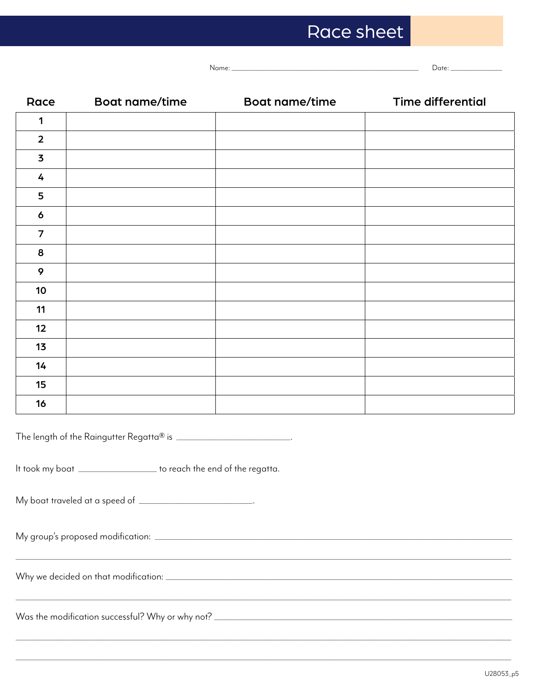# Race sheet

Name:

 $Date:$ 

| Race                                                                                                                                           | <b>Boat name/time</b> | <b>Boat name/time</b> | <b>Time differential</b> |  |
|------------------------------------------------------------------------------------------------------------------------------------------------|-----------------------|-----------------------|--------------------------|--|
| 1                                                                                                                                              |                       |                       |                          |  |
| $\overline{2}$                                                                                                                                 |                       |                       |                          |  |
| $\overline{\mathbf{3}}$                                                                                                                        |                       |                       |                          |  |
| 4                                                                                                                                              |                       |                       |                          |  |
| 5                                                                                                                                              |                       |                       |                          |  |
| 6                                                                                                                                              |                       |                       |                          |  |
| $\overline{7}$                                                                                                                                 |                       |                       |                          |  |
| 8                                                                                                                                              |                       |                       |                          |  |
| 9                                                                                                                                              |                       |                       |                          |  |
| 10                                                                                                                                             |                       |                       |                          |  |
| 11                                                                                                                                             |                       |                       |                          |  |
| 12                                                                                                                                             |                       |                       |                          |  |
| 13                                                                                                                                             |                       |                       |                          |  |
| 14                                                                                                                                             |                       |                       |                          |  |
| 15                                                                                                                                             |                       |                       |                          |  |
| 16                                                                                                                                             |                       |                       |                          |  |
| The length of the Raingutter Regatta® is ____________________________.<br>It took my boat ___________________ to reach the end of the regatta. |                       |                       |                          |  |
|                                                                                                                                                |                       |                       |                          |  |
|                                                                                                                                                |                       |                       |                          |  |
| Was the modification successful? Why or why not? ________________________________                                                              |                       |                       |                          |  |
|                                                                                                                                                |                       |                       |                          |  |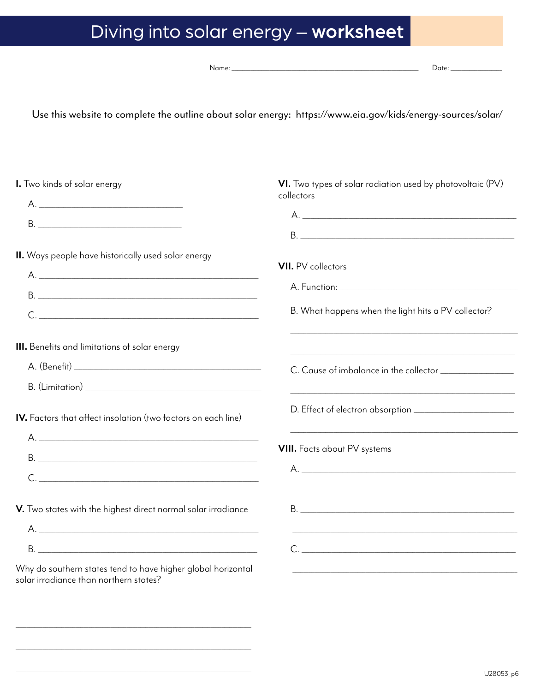# Diving into solar energy - worksheet

| Name: |  |
|-------|--|

Date:

Use this website to complete the outline about solar energy: https://www.eia.gov/kids/energy-sources/solar/

| I. Two kinds of solar energy                                                                                                                                                                                                                                                                                                                                                                                                                   | VI. Two types of solar radiation used by photovoltaic (PV)<br>collectors                                                                                                                                                                                                                                                                                                                                                                       |  |
|------------------------------------------------------------------------------------------------------------------------------------------------------------------------------------------------------------------------------------------------------------------------------------------------------------------------------------------------------------------------------------------------------------------------------------------------|------------------------------------------------------------------------------------------------------------------------------------------------------------------------------------------------------------------------------------------------------------------------------------------------------------------------------------------------------------------------------------------------------------------------------------------------|--|
| A.                                                                                                                                                                                                                                                                                                                                                                                                                                             |                                                                                                                                                                                                                                                                                                                                                                                                                                                |  |
|                                                                                                                                                                                                                                                                                                                                                                                                                                                |                                                                                                                                                                                                                                                                                                                                                                                                                                                |  |
|                                                                                                                                                                                                                                                                                                                                                                                                                                                |                                                                                                                                                                                                                                                                                                                                                                                                                                                |  |
| II. Ways people have historically used solar energy                                                                                                                                                                                                                                                                                                                                                                                            |                                                                                                                                                                                                                                                                                                                                                                                                                                                |  |
|                                                                                                                                                                                                                                                                                                                                                                                                                                                | <b>VII.</b> PV collectors                                                                                                                                                                                                                                                                                                                                                                                                                      |  |
|                                                                                                                                                                                                                                                                                                                                                                                                                                                |                                                                                                                                                                                                                                                                                                                                                                                                                                                |  |
| $C. \begin{tabular}{ c c c c } \hline \multicolumn{3}{ c }{\textbf{C}} & \multicolumn{3}{ c }{\textbf{C}} \\ \multicolumn{3}{ c }{\textbf{C}} & \multicolumn{3}{ c }{\textbf{C}} \\ \multicolumn{3}{ c }{\textbf{C}} & \multicolumn{3}{ c }{\textbf{C}} \\ \multicolumn{3}{ c }{\textbf{C}} & \multicolumn{3}{ c }{\textbf{C}} \\ \multicolumn{3}{ c }{\textbf{C}} & \multicolumn{3}{ c }{\textbf{C}} \\ \multicolumn{3}{ c }{\textbf{C}} & \$ | B. What happens when the light hits a PV collector?                                                                                                                                                                                                                                                                                                                                                                                            |  |
| III. Benefits and limitations of solar energy                                                                                                                                                                                                                                                                                                                                                                                                  |                                                                                                                                                                                                                                                                                                                                                                                                                                                |  |
|                                                                                                                                                                                                                                                                                                                                                                                                                                                |                                                                                                                                                                                                                                                                                                                                                                                                                                                |  |
|                                                                                                                                                                                                                                                                                                                                                                                                                                                |                                                                                                                                                                                                                                                                                                                                                                                                                                                |  |
| <b>IV.</b> Factors that affect insolation (two factors on each line)                                                                                                                                                                                                                                                                                                                                                                           |                                                                                                                                                                                                                                                                                                                                                                                                                                                |  |
|                                                                                                                                                                                                                                                                                                                                                                                                                                                |                                                                                                                                                                                                                                                                                                                                                                                                                                                |  |
|                                                                                                                                                                                                                                                                                                                                                                                                                                                | <b>VIII.</b> Facts about PV systems                                                                                                                                                                                                                                                                                                                                                                                                            |  |
| $C.$                                                                                                                                                                                                                                                                                                                                                                                                                                           | A.                                                                                                                                                                                                                                                                                                                                                                                                                                             |  |
| V. Two states with the highest direct normal solar irradiance                                                                                                                                                                                                                                                                                                                                                                                  | <b>B</b> .                                                                                                                                                                                                                                                                                                                                                                                                                                     |  |
| $A.$                                                                                                                                                                                                                                                                                                                                                                                                                                           |                                                                                                                                                                                                                                                                                                                                                                                                                                                |  |
|                                                                                                                                                                                                                                                                                                                                                                                                                                                | $C. \begin{tabular}{ c c c c } \hline \multicolumn{3}{ c }{\textbf{C}} & \multicolumn{3}{ c }{\textbf{C}} \\ \multicolumn{3}{ c }{\textbf{C}} & \multicolumn{3}{ c }{\textbf{C}} \\ \multicolumn{3}{ c }{\textbf{C}} & \multicolumn{3}{ c }{\textbf{C}} \\ \multicolumn{3}{ c }{\textbf{C}} & \multicolumn{3}{ c }{\textbf{C}} \\ \multicolumn{3}{ c }{\textbf{C}} & \multicolumn{3}{ c }{\textbf{C}} \\ \multicolumn{3}{ c }{\textbf{C}} & \$ |  |
| Why do southern states tend to have higher global horizontal<br>solar irradiance than northern states?                                                                                                                                                                                                                                                                                                                                         |                                                                                                                                                                                                                                                                                                                                                                                                                                                |  |
|                                                                                                                                                                                                                                                                                                                                                                                                                                                |                                                                                                                                                                                                                                                                                                                                                                                                                                                |  |